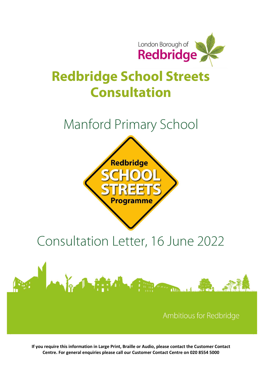

## Redbridge School Streets Consultation

### Manford Primary School



# Consultation Letter, 16 June 2022



If you require this information in Large Print, Braille or Audio, please contact the Customer Contact Centre. For general enquiries please call our Customer Contact Centre on 020 8554 5000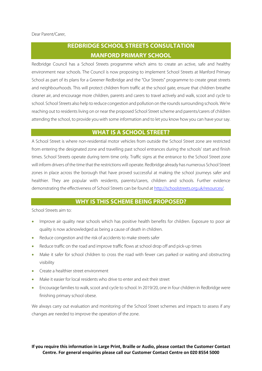### REDBRIDGE SCHOOL STREETS CONSULTATION MANFORD PRIMARY SCHOOL

Redbridge Council has a School Streets programme which aims to create an active, safe and healthy environment near schools. The Council is now proposing to implement School Streets at Manford Primary School as part of its plans for a Greener Redbridge and the "Our Streets" programme to create great streets and neighbourhoods. This will protect children from traffic at the school gate, ensure that children breathe cleaner air, and encourage more children, parents and carers to travel actively and walk, scoot and cycle to school. School Streets also help to reduce congestion and pollution on the rounds surrounding schools. We're reaching out to residents living on or near the proposed School Street scheme and parents/carers of children attending the school, to provide you with some information and to let you know how you can have your say.

#### WHAT IS A SCHOOL STREET?

A School Street is where non-residential motor vehicles from outside the School Street zone are restricted from entering the designated zone and travelling past school entrances during the schools' start and finish times. School Streets operate during term time only. Traffic signs at the entrance to the School Street zone will inform drivers of the time that the restrictions will operate. Redbridge already has numerous School Street zones in place across the borough that have proved successful at making the school journeys safer and healthier. They are popular with residents, parents/carers, children and schools. Further evidence demonstrating the effectiveness of School Streets can be found at http://schoolstreets.org.uk/resources/.

#### WHY IS THIS SCHEME BEING PROPOSED?

School Streets aim to:

- Improve air quality near schools which has positive health benefits for children. Exposure to poor air quality is now acknowledged as being a cause of death in children.
- Reduce congestion and the risk of accidents to make streets safer
- Reduce traffic on the road and improve traffic flows at school drop off and pick-up times
- Make it safer for school children to cross the road with fewer cars parked or waiting and obstructing visibility
- **•** Create a healthier street environment
- Make it easier for local residents who drive to enter and exit their street
- Encourage families to walk, scoot and cycle to school. In 2019/20, one in four children in Redbridge were finishing primary school obese.

We always carry out evaluation and monitoring of the School Street schemes and impacts to assess if any changes are needed to improve the operation of the zone.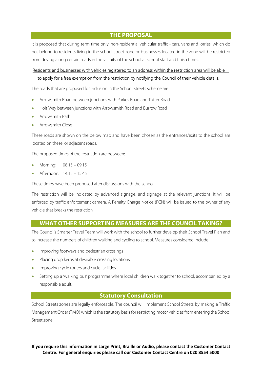#### THE PROPOSAL

It is proposed that during term time only, non-residential vehicular traffic - cars, vans and lorries, which do not belong to residents living in the school street zone or businesses located in the zone will be restricted from driving along certain roads in the vicinity of the school at school start and finish times.

#### Residents and businesses with vehicles registered to an address within the restriction area will be able to apply for a free exemption from the restriction by notifying the Council of their vehicle details.

The roads that are proposed for inclusion in the School Streets scheme are:

- Arrowsmith Road between junctions with Parkes Road and Tufter Road
- Holt Way between junctions with Arrowsmith Road and Burrow Road
- Arrowsmith Path
- Arrowsmith Close

These roads are shown on the below map and have been chosen as the entrances/exits to the school are located on these, or adjacent roads.

The proposed times of the restriction are between:

- Morning: 08.15 09:15
- Afternoon: 14.15 15:45

These times have been proposed after discussions with the school.

The restriction will be indicated by advanced signage, and signage at the relevant junctions. It will be enforced by traffic enforcement camera. A Penalty Charge Notice (PCN) will be issued to the owner of any vehicle that breaks the restriction.

#### WHAT OTHER SUPPORTING MEASURES ARE THE COUNCIL TAKING?

The Council's Smarter Travel Team will work with the school to further develop their School Travel Plan and to increase the numbers of children walking and cycling to school. Measures considered include:

- Improving footways and pedestrian crossings
- Placing drop kerbs at desirable crossing locations
- Improving cycle routes and cycle facilities
- Setting up a 'walking bus' programme where local children walk together to school, accompanied by a responsible adult.

#### Statutory Consultation

School Streets zones are legally enforceable. The council will implement School Streets by making a Traffic Management Order (TMO) which is the statutory basis for restricting motor vehicles from entering the School Street zone.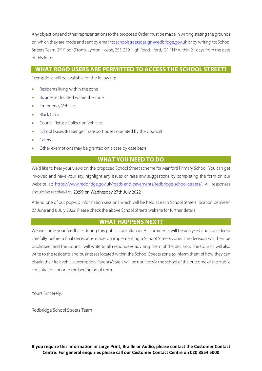Any objections and other representations to the proposed Order must be made in writing stating the grounds on which they are made and sent by email to: schoolstreetsdesign@redbridge.gov.uk or by writing to: School Streets Team, 2<sup>nd</sup> Floor (Front), Lynton House, 255-259 High Road, Ilford, IG1 1NY within 21 days from the date of this letter.

#### WHAT ROAD USERS ARE PERMITTED TO ACCESS THE SCHOOL STREET?

Exemptions will be available for the following:

- Residents living within the zone
- Businesses located within the zone
- Emergency Vehicles
- Black Cabs
- Council Refuse Collection Vehicles
- School buses (Passenger Transport buses operated by the Council)
- Carers
- Other exemptions may be granted on a case by case basis

#### WHAT YOU NEED TO DO

We'd like to hear your views on the proposed School Street scheme for Manford Primary School. You can get involved and have your say, highlight any issues or raise any suggestions by completing the form on our website at: https://www.redbridge.gov.uk/roads-and-pavements/redbridge-school-streets/. All responses should be received by 23:59 on Wednesday 27th July 2022.

Attend one of our pop-up information sessions which will be held at each School Streets location between 27 June and 8 July 2022. Please check the above School Streets website for further details.

#### WHAT HAPPENS NEXT?

We welcome your feedback during this public consultation. All comments will be analysed and considered carefully before a final decision is made on implementing a School Streets zone. The decision will then be publicised, and the Council will write to all respondees advising them of the decision. The Council will also write to the residents and businesses located within the School Streets zone to inform them of how they can obtain their free vehicle exemption. Parents/carers will be notified via the school of the outcome of the public consultation, prior to the beginning of term.

Yours Sincerely,

Redbridge School Streets Team

If you require this information in Large Print, Braille or Audio, please contact the Customer Contact Centre. For general enquiries please call our Customer Contact Centre on 020 8554 5000